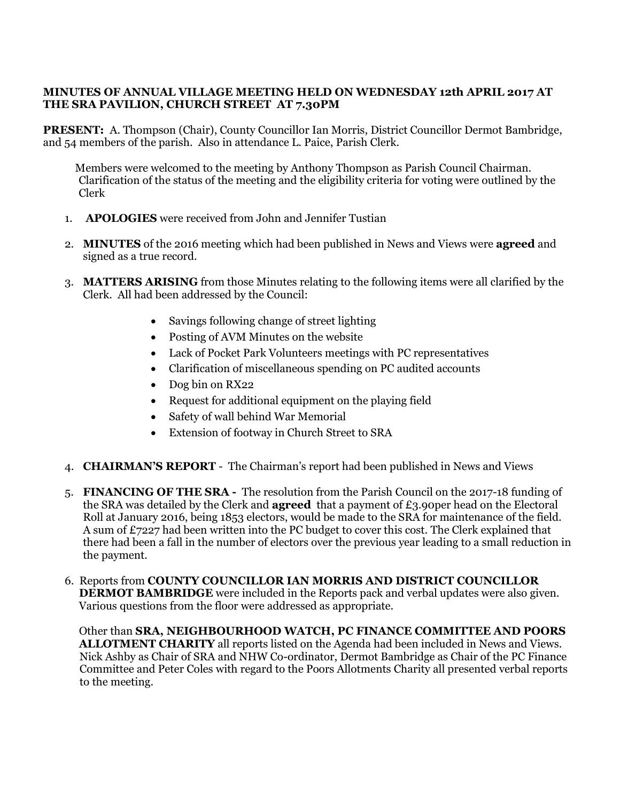## **MINUTES OF ANNUAL VILLAGE MEETING HELD ON WEDNESDAY 12th APRIL 2017 AT THE SRA PAVILION, CHURCH STREET AT 7.30PM**

**PRESENT:** A. Thompson (Chair), County Councillor Ian Morris, District Councillor Dermot Bambridge, and 54 members of the parish. Also in attendance L. Paice, Parish Clerk.

 Members were welcomed to the meeting by Anthony Thompson as Parish Council Chairman. Clarification of the status of the meeting and the eligibility criteria for voting were outlined by the Clerk

- 1. **APOLOGIES** were received from John and Jennifer Tustian
- 2. **MINUTES** of the 2016 meeting which had been published in News and Views were **agreed** and signed as a true record.
- 3. **MATTERS ARISING** from those Minutes relating to the following items were all clarified by the Clerk. All had been addressed by the Council:
	- Savings following change of street lighting
	- Posting of AVM Minutes on the website
	- Lack of Pocket Park Volunteers meetings with PC representatives
	- Clarification of miscellaneous spending on PC audited accounts
	- Dog bin on RX22
	- Request for additional equipment on the playing field
	- Safety of wall behind War Memorial
	- Extension of footway in Church Street to SRA
- 4. **CHAIRMAN'S REPORT** The Chairman's report had been published in News and Views
- 5. **FINANCING OF THE SRA -** The resolution from the Parish Council on the 2017-18 funding of the SRA was detailed by the Clerk and **agreed** that a payment of £3.90per head on the Electoral Roll at January 2016, being 1853 electors, would be made to the SRA for maintenance of the field. A sum of £7227 had been written into the PC budget to cover this cost. The Clerk explained that there had been a fall in the number of electors over the previous year leading to a small reduction in the payment.
- 6. Reports from **COUNTY COUNCILLOR IAN MORRIS AND DISTRICT COUNCILLOR DERMOT BAMBRIDGE** were included in the Reports pack and verbal updates were also given. Various questions from the floor were addressed as appropriate.

Other than **SRA, NEIGHBOURHOOD WATCH, PC FINANCE COMMITTEE AND POORS ALLOTMENT CHARITY** all reports listed on the Agenda had been included in News and Views. Nick Ashby as Chair of SRA and NHW Co-ordinator, Dermot Bambridge as Chair of the PC Finance Committee and Peter Coles with regard to the Poors Allotments Charity all presented verbal reports to the meeting.